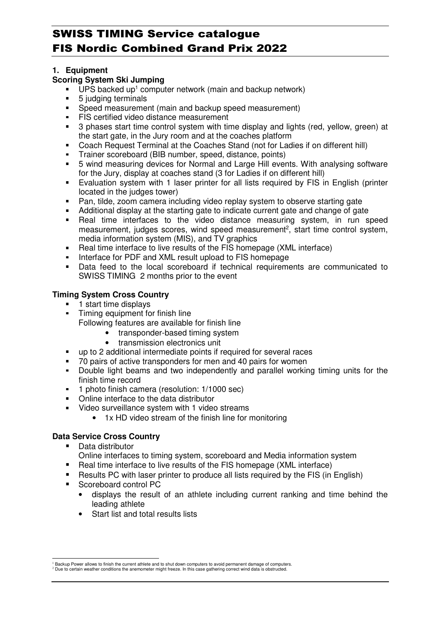## **1. Equipment**

## **Scoring System Ski Jumping**

- $\blacksquare$  UPS backed up<sup>1</sup> computer network (main and backup network)
- 5 judging terminals
- Speed measurement (main and backup speed measurement)
- FIS certified video distance measurement
- 3 phases start time control system with time display and lights (red, yellow, green) at the start gate, in the Jury room and at the coaches platform
- Coach Request Terminal at the Coaches Stand (not for Ladies if on different hill)
- Trainer scoreboard (BIB number, speed, distance, points)
- 5 wind measuring devices for Normal and Large Hill events. With analysing software for the Jury, display at coaches stand (3 for Ladies if on different hill)
- Evaluation system with 1 laser printer for all lists required by FIS in English (printer located in the judges tower)
- Pan, tilde, zoom camera including video replay system to observe starting gate
- Additional display at the starting gate to indicate current gate and change of gate<br>• Real time, interfaces, to the video distance measuring system, in run, s
- Real time interfaces to the video distance measuring system, in run speed measurement, judges scores, wind speed measurement<sup>2</sup>, start time control system, media information system (MIS), and TV graphics
- Real time interface to live results of the FIS homepage (XML interface)
- Interface for PDF and XML result upload to FIS homepage
- Data feed to the local scoreboard if technical requirements are communicated to SWISS TIMING 2 months prior to the event

# **Timing System Cross Country**

- 1 start time displays
- Timing equipment for finish line
	- Following features are available for finish line
		- transponder-based timing system
			- transmission electronics unit
- up to 2 additional intermediate points if required for several races
- 70 pairs of active transponders for men and 40 pairs for women
- Double light beams and two independently and parallel working timing units for the finish time record
- <sup>1</sup> 1 photo finish camera (resolution: 1/1000 sec)
- Online interface to the data distributor
- Video surveillance system with 1 video streams
	- 1x HD video stream of the finish line for monitoring

# **Data Service Cross Country**

**Data distributor** 

 $\overline{a}$ 

- Online interfaces to timing system, scoreboard and Media information system
- Real time interface to live results of the FIS homepage (XML interface)
- Results PC with laser printer to produce all lists required by the FIS (in English)
- Scoreboard control PC
	- displays the result of an athlete including current ranking and time behind the leading athlete
	- Start list and total results lists

<sup>1</sup> Backup Power allows to finish the current athlete and to shut down computers to avoid permanent damage of computers. <sup>2</sup> Due to certain weather conditions the anemometer might freeze. In this case gathering correct wind data is obstructed.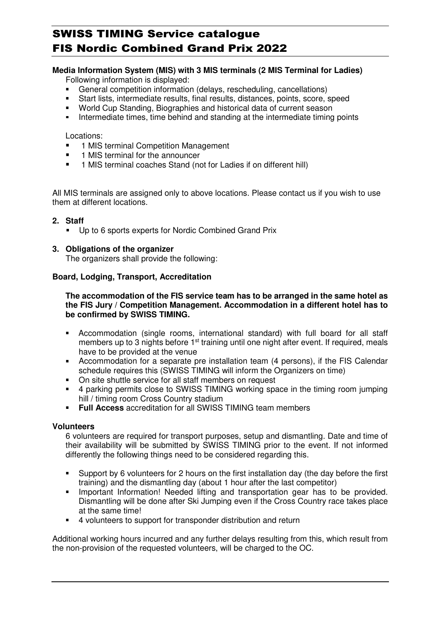# **Media Information System (MIS) with 3 MIS terminals (2 MIS Terminal for Ladies)**

Following information is displayed:

- General competition information (delays, rescheduling, cancellations)
- Start lists, intermediate results, final results, distances, points, score, speed<br>World Cup Standing Biographies and historical data of current season
- World Cup Standing, Biographies and historical data of current season
- Intermediate times, time behind and standing at the intermediate timing points

Locations:

- 1 MIS terminal Competition Management
- **1 MIS terminal for the announcer**
- **1 MIS terminal coaches Stand (not for Ladies if on different hill)**

All MIS terminals are assigned only to above locations. Please contact us if you wish to use them at different locations.

#### **2. Staff**

Up to 6 sports experts for Nordic Combined Grand Prix

#### **3. Obligations of the organizer**

The organizers shall provide the following:

#### **Board, Lodging, Transport, Accreditation**

**The accommodation of the FIS service team has to be arranged in the same hotel as the FIS Jury / Competition Management. Accommodation in a different hotel has to be confirmed by SWISS TIMING.** 

- Accommodation (single rooms, international standard) with full board for all staff members up to 3 nights before 1<sup>st</sup> training until one night after event. If required, meals have to be provided at the venue
- Accommodation for a separate pre installation team (4 persons), if the FIS Calendar schedule requires this (SWISS TIMING will inform the Organizers on time)
- On site shuttle service for all staff members on request
- 4 parking permits close to SWISS TIMING working space in the timing room jumping hill / timing room Cross Country stadium
- **Full Access** accreditation for all SWISS TIMING team members

#### **Volunteers**

6 volunteers are required for transport purposes, setup and dismantling. Date and time of their availability will be submitted by SWISS TIMING prior to the event. If not informed differently the following things need to be considered regarding this.

- Support by 6 volunteers for 2 hours on the first installation day (the day before the first training) and the dismantling day (about 1 hour after the last competitor)
- **Important Information! Needed lifting and transportation gear has to be provided.** Dismantling will be done after Ski Jumping even if the Cross Country race takes place at the same time!
- 4 volunteers to support for transponder distribution and return

Additional working hours incurred and any further delays resulting from this, which result from the non-provision of the requested volunteers, will be charged to the OC.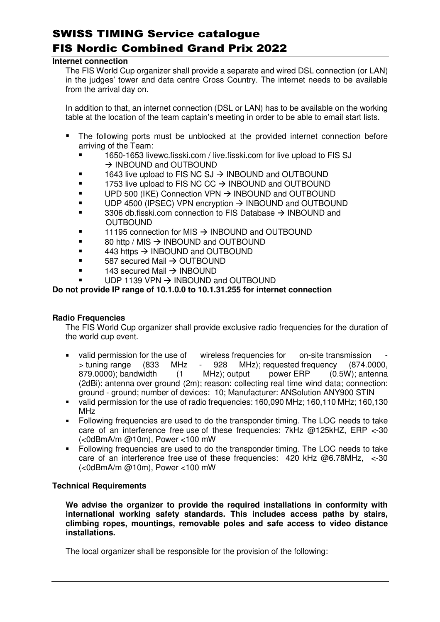#### **Internet connection**

The FIS World Cup organizer shall provide a separate and wired DSL connection (or LAN) in the judges' tower and data centre Cross Country. The internet needs to be available from the arrival day on.

In addition to that, an internet connection (DSL or LAN) has to be available on the working table at the location of the team captain's meeting in order to be able to email start lists.

- The following ports must be unblocked at the provided internet connection before arriving of the Team:
	- 1650-1653 livewc.fisski.com / live.fisski.com for live upload to FIS SJ  $\rightarrow$  INBOUND and OUTBOUND
	- $\blacksquare$  1643 live upload to FIS NC SJ  $\rightarrow$  INBOUND and OUTBOUND
	- $\blacksquare$  1753 live upload to FIS NC CC  $\rightarrow$  INBOUND and OUTBOUND
	- $\bullet$  UPD 500 (IKE) Connection VPN  $\rightarrow$  INBOUND and OUTBOUND
	- $\blacksquare$  UDP 4500 (IPSEC) VPN encryption  $\rightarrow$  INBOUND and OUTBOUND
	- $\blacksquare$  3306 db.fisski.com connection to FIS Database  $\rightarrow$  INBOUND and OUTBOUND
	- $\blacksquare$  11195 connection for MIS  $\rightarrow$  INBOUND and OUTBOUND
	- $\bullet$  80 http / MIS  $\rightarrow$  INBOUND and OUTBOUND
	- $\overline{443}$  https  $\rightarrow$  INBOUND and OUTBOUND
	- $\bullet$  587 secured Mail  $\rightarrow$  OUTBOUND
	- $\blacksquare$  143 secured Mail  $\rightarrow$  INBOUND
	- $\bullet$  UDP 1139 VPN  $\rightarrow$  INBOUND and OUTBOUND

#### **Do not provide IP range of 10.1.0.0 to 10.1.31.255 for internet connection**

#### **Radio Frequencies**

The FIS World Cup organizer shall provide exclusive radio frequencies for the duration of the world cup event.

- valid permission for the use of wireless frequencies for on-site transmission > tuning range (833 MHz - 928 MHz); requested frequency (874.0000, 879.0000); bandwidth (1 MHz); output power ERP (0.5W); antenna (2dBi); antenna over ground (2m); reason: collecting real time wind data; connection: ground - ground; number of devices: 10; Manufacturer: ANSolution ANY900 STIN
- valid permission for the use of radio frequencies: 160,090 MHz; 160,110 MHz; 160,130 MHz
- Following frequencies are used to do the transponder timing. The LOC needs to take care of an interference free use of these frequencies: 7kHz @125kHZ, ERP <-30 (<0dBmA/m @10m), Power <100 mW
- Following frequencies are used to do the transponder timing. The LOC needs to take care of an interference free use of these frequencies: 420 kHz @6.78MHz, <-30 (<0dBmA/m @10m), Power <100 mW

#### **Technical Requirements**

**We advise the organizer to provide the required installations in conformity with international working safety standards. This includes access paths by stairs, climbing ropes, mountings, removable poles and safe access to video distance installations.**

The local organizer shall be responsible for the provision of the following: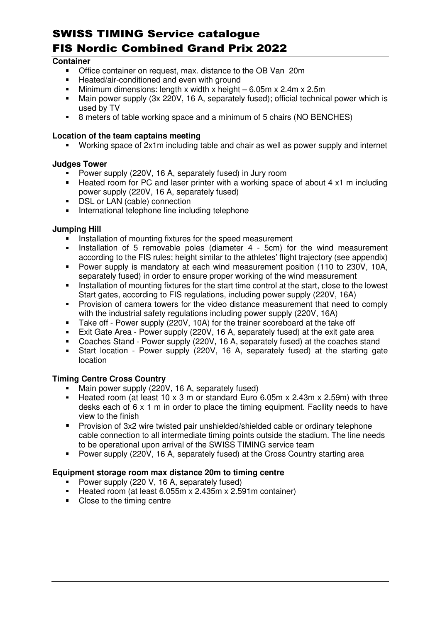## **Container**

- Office container on request, max. distance to the OB Van 20m
- **Heated/air-conditioned and even with ground**
- Minimum dimensions: length x width x height 6.05m x 2.4m x 2.5m
- Main power supply (3x 220V, 16 A, separately fused); official technical power which is used by TV
- 8 meters of table working space and a minimum of 5 chairs (NO BENCHES)

### **Location of the team captains meeting**

Working space of 2x1m including table and chair as well as power supply and internet

### **Judges Tower**

- Power supply (220V, 16 A, separately fused) in Jury room
- Heated room for PC and laser printer with a working space of about 4 x1 m including power supply (220V, 16 A, separately fused)
- **DSL or LAN (cable) connection**
- **International telephone line including telephone**

### **Jumping Hill**

- Installation of mounting fixtures for the speed measurement
- Installation of 5 removable poles (diameter 4 5cm) for the wind measurement according to the FIS rules; height similar to the athletes' flight trajectory (see appendix)
- Power supply is mandatory at each wind measurement position (110 to 230V, 10A, separately fused) in order to ensure proper working of the wind measurement
- Installation of mounting fixtures for the start time control at the start, close to the lowest Start gates, according to FIS regulations, including power supply (220V, 16A)
- **Provision of camera towers for the video distance measurement that need to comply** with the industrial safety regulations including power supply (220V, 16A)
- Take off Power supply (220V, 10A) for the trainer scoreboard at the take off
- Exit Gate Area Power supply (220V, 16 A, separately fused) at the exit gate area
- Coaches Stand Power supply (220V, 16 A, separately fused) at the coaches stand
- Start location Power supply (220V, 16 A, separately fused) at the starting gate location

# **Timing Centre Cross Country**

- **Main power supply (220V, 16 A, separately fused)**
- Heated room (at least 10 x 3 m or standard Euro 6.05m x 2.43m x 2.59m) with three desks each of 6 x 1 m in order to place the timing equipment. Facility needs to have view to the finish
- Provision of 3x2 wire twisted pair unshielded/shielded cable or ordinary telephone cable connection to all intermediate timing points outside the stadium. The line needs to be operational upon arrival of the SWISS TIMING service team
- Power supply (220V, 16 A, separately fused) at the Cross Country starting area

# **Equipment storage room max distance 20m to timing centre**

- Power supply (220 V, 16 A, separately fused)
- Heated room (at least 6.055m x 2.435m x 2.591m container)
- Close to the timing centre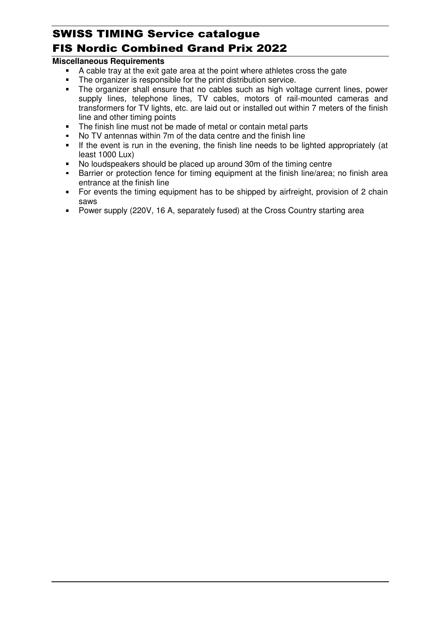# **Miscellaneous Requirements**

- A cable tray at the exit gate area at the point where athletes cross the gate
- The organizer is responsible for the print distribution service.
- The organizer shall ensure that no cables such as high voltage current lines, power supply lines, telephone lines, TV cables, motors of rail-mounted cameras and transformers for TV lights, etc. are laid out or installed out within 7 meters of the finish line and other timing points
- The finish line must not be made of metal or contain metal parts
- No TV antennas within 7m of the data centre and the finish line
- If the event is run in the evening, the finish line needs to be lighted appropriately (at least 1000 Lux)
- No loudspeakers should be placed up around 30m of the timing centre
- **Barrier or protection fence for timing equipment at the finish line/area; no finish area** entrance at the finish line
- For events the timing equipment has to be shipped by airfreight, provision of 2 chain saws
- Power supply (220V, 16 A, separately fused) at the Cross Country starting area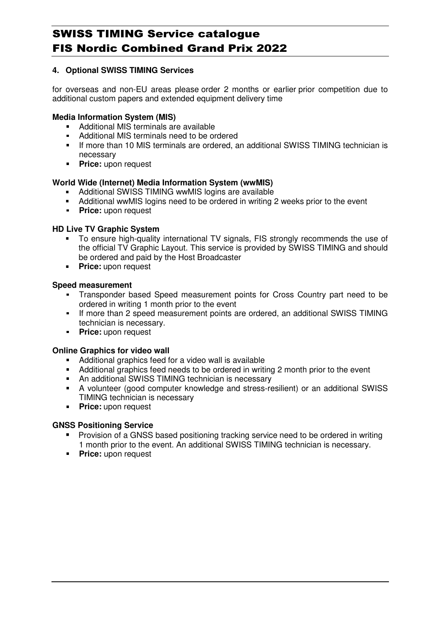# **4. Optional SWISS TIMING Services**

for overseas and non-EU areas please order 2 months or earlier prior competition due to additional custom papers and extended equipment delivery time

# **Media Information System (MIS)**

- Additional MIS terminals are available
- Additional MIS terminals need to be ordered
- If more than 10 MIS terminals are ordered, an additional SWISS TIMING technician is necessary
- **Price: upon request**

### **World Wide (Internet) Media Information System (wwMIS)**

- Additional SWISS TIMING wwMIS logins are available
- Additional wwMIS logins need to be ordered in writing 2 weeks prior to the event
- **Price: upon request**

### **HD Live TV Graphic System**

- To ensure high-quality international TV signals, FIS strongly recommends the use of the official TV Graphic Layout. This service is provided by SWISS TIMING and should be ordered and paid by the Host Broadcaster
- **Price:** upon request

### **Speed measurement**

- Transponder based Speed measurement points for Cross Country part need to be ordered in writing 1 month prior to the event
- If more than 2 speed measurement points are ordered, an additional SWISS TIMING technician is necessary.
- **Price:** upon request

#### **Online Graphics for video wall**

- Additional graphics feed for a video wall is available
- Additional graphics feed needs to be ordered in writing 2 month prior to the event
- An additional SWISS TIMING technician is necessary
- A volunteer (good computer knowledge and stress-resilient) or an additional SWISS TIMING technician is necessary
- **Price: upon request**

# **GNSS Positioning Service**

- **Provision of a GNSS based positioning tracking service need to be ordered in writing** 1 month prior to the event. An additional SWISS TIMING technician is necessary.
- **Price: upon request**